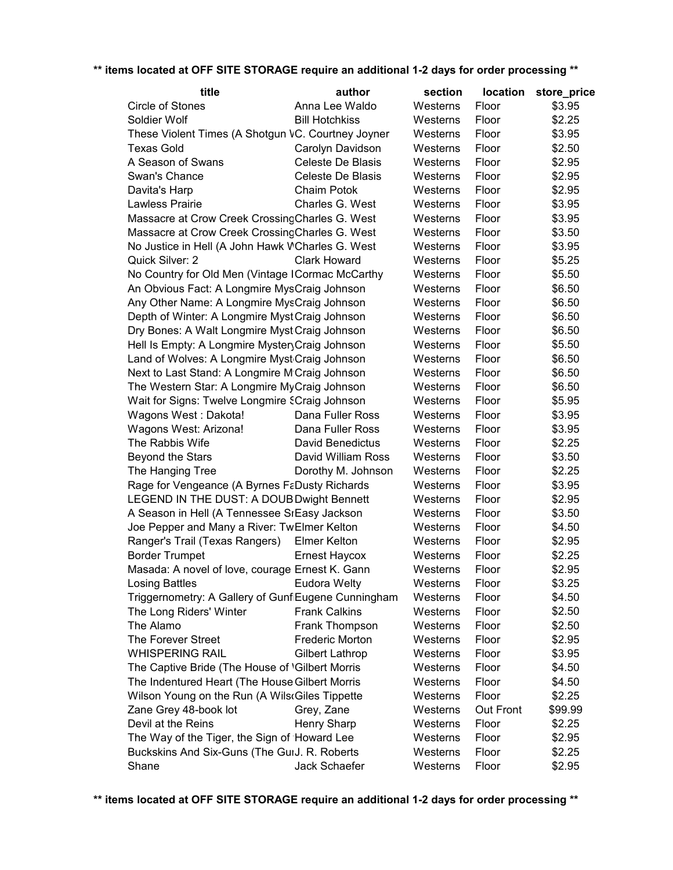| title                                                      | author                   | section  | <b>location</b> | store_price |
|------------------------------------------------------------|--------------------------|----------|-----------------|-------------|
| Circle of Stones                                           | Anna Lee Waldo           | Westerns | Floor           | \$3.95      |
| Soldier Wolf                                               | <b>Bill Hotchkiss</b>    | Westerns | Floor           | \$2.25      |
| These Violent Times (A Shotgun VC. Courtney Joyner         |                          | Westerns | Floor           | \$3.95      |
| <b>Texas Gold</b>                                          | Carolyn Davidson         | Westerns | Floor           | \$2.50      |
| A Season of Swans                                          | Celeste De Blasis        | Westerns | Floor           | \$2.95      |
| Swan's Chance                                              | <b>Celeste De Blasis</b> | Westerns | Floor           | \$2.95      |
| Davita's Harp                                              | Chaim Potok              | Westerns | Floor           | \$2.95      |
| <b>Lawless Prairie</b>                                     | Charles G. West          | Westerns | Floor           | \$3.95      |
| Massacre at Crow Creek Crossing Charles G. West            |                          | Westerns | Floor           | \$3.95      |
| Massacre at Crow Creek CrossingCharles G. West             |                          | Westerns | Floor           | \$3.50      |
| No Justice in Hell (A John Hawk WCharles G. West           |                          | Westerns | Floor           | \$3.95      |
| Quick Silver: 2                                            | <b>Clark Howard</b>      | Westerns | Floor           | \$5.25      |
| No Country for Old Men (Vintage ICormac McCarthy           |                          | Westerns | Floor           | \$5.50      |
| An Obvious Fact: A Longmire MysCraig Johnson               |                          | Westerns | Floor           | \$6.50      |
| Any Other Name: A Longmire MysCraig Johnson                |                          | Westerns | Floor           | \$6.50      |
| Depth of Winter: A Longmire MystCraig Johnson              |                          | Westerns | Floor           | \$6.50      |
| Dry Bones: A Walt Longmire Myst Craig Johnson              |                          | Westerns | Floor           | \$6.50      |
| Hell Is Empty: A Longmire Myster Craig Johnson             |                          | Westerns | Floor           | \$5.50      |
| Land of Wolves: A Longmire Myst <sub>'</sub> Craig Johnson |                          | Westerns | Floor           | \$6.50      |
| Next to Last Stand: A Longmire M Craig Johnson             |                          | Westerns | Floor           | \$6.50      |
| The Western Star: A Longmire MyCraig Johnson               |                          | Westerns | Floor           | \$6.50      |
| Wait for Signs: Twelve Longmire SCraig Johnson             |                          | Westerns | Floor           | \$5.95      |
| Wagons West: Dakota!                                       | Dana Fuller Ross         | Westerns | Floor           | \$3.95      |
| Wagons West: Arizona!                                      | Dana Fuller Ross         | Westerns | Floor           | \$3.95      |
| The Rabbis Wife                                            | David Benedictus         | Westerns | Floor           | \$2.25      |
| Beyond the Stars                                           | David William Ross       | Westerns | Floor           | \$3.50      |
| The Hanging Tree                                           | Dorothy M. Johnson       | Westerns | Floor           | \$2.25      |
| Rage for Vengeance (A Byrnes FaDusty Richards              |                          | Westerns | Floor           | \$3.95      |
| LEGEND IN THE DUST: A DOUB Dwight Bennett                  |                          | Westerns | Floor           | \$2.95      |
| A Season in Hell (A Tennessee SrEasy Jackson               |                          | Westerns | Floor           | \$3.50      |
| Joe Pepper and Many a River: TwElmer Kelton                |                          | Westerns | Floor           | \$4.50      |
| Ranger's Trail (Texas Rangers)                             | <b>Elmer Kelton</b>      | Westerns | Floor           | \$2.95      |
| <b>Border Trumpet</b>                                      | <b>Ernest Haycox</b>     | Westerns | Floor           | \$2.25      |
| Masada: A novel of love, courage Ernest K. Gann            |                          | Westerns | Floor           | \$2.95      |
| <b>Losing Battles</b>                                      | <b>Eudora Welty</b>      | Westerns | Floor           | \$3.25      |
| Triggernometry: A Gallery of GunfiEugene Cunningham        |                          | Westerns | Floor           | \$4.50      |
| The Long Riders' Winter                                    | <b>Frank Calkins</b>     | Westerns | Floor           | \$2.50      |
| The Alamo                                                  | Frank Thompson           | Westerns | Floor           | \$2.50      |
| The Forever Street                                         | Frederic Morton          | Westerns | Floor           | \$2.95      |
| <b>WHISPERING RAIL</b>                                     | Gilbert Lathrop          | Westerns | Floor           | \$3.95      |
| The Captive Bride (The House of <i>\Gilbert Morris</i>     |                          | Westerns | Floor           | \$4.50      |
| The Indentured Heart (The House Gilbert Morris             |                          | Westerns | Floor           | \$4.50      |
| Wilson Young on the Run (A Wils Giles Tippette             |                          | Westerns | Floor           | \$2.25      |
| Zane Grey 48-book lot                                      | Grey, Zane               | Westerns | Out Front       | \$99.99     |
| Devil at the Reins                                         | Henry Sharp              | Westerns | Floor           | \$2.25      |
| The Way of the Tiger, the Sign of Howard Lee               |                          | Westerns | Floor           | \$2.95      |
| Buckskins And Six-Guns (The GurJ. R. Roberts               |                          | Westerns | Floor           | \$2.25      |
| Shane                                                      | Jack Schaefer            | Westerns | Floor           | \$2.95      |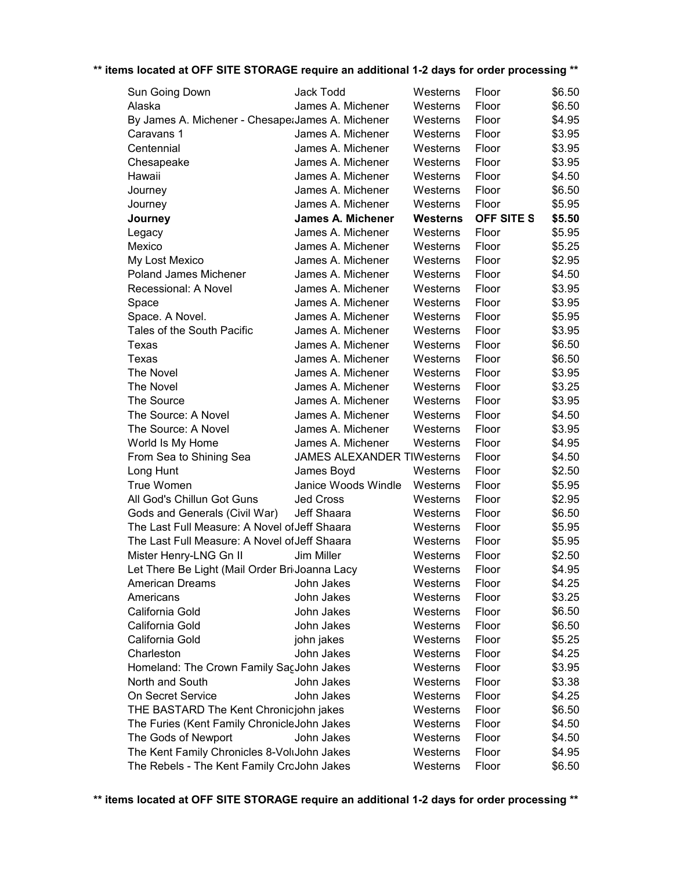| Sun Going Down                                    | Jack Todd                         | Westerns        | Floor      | \$6.50 |
|---------------------------------------------------|-----------------------------------|-----------------|------------|--------|
| Alaska                                            | James A. Michener                 | Westerns        | Floor      | \$6.50 |
| By James A. Michener - Chesape: James A. Michener |                                   | Westerns        | Floor      | \$4.95 |
| Caravans 1                                        | James A. Michener                 | Westerns        | Floor      | \$3.95 |
| Centennial                                        | James A. Michener                 | Westerns        | Floor      | \$3.95 |
| Chesapeake                                        | James A. Michener                 | Westerns        | Floor      | \$3.95 |
| Hawaii                                            | James A. Michener                 | Westerns        | Floor      | \$4.50 |
| Journey                                           | James A. Michener                 | Westerns        | Floor      | \$6.50 |
| Journey                                           | James A. Michener                 | Westerns        | Floor      | \$5.95 |
| Journey                                           | <b>James A. Michener</b>          | <b>Westerns</b> | OFF SITE S | \$5.50 |
| Legacy                                            | James A. Michener                 | Westerns        | Floor      | \$5.95 |
| Mexico                                            | James A. Michener                 | Westerns        | Floor      | \$5.25 |
| My Lost Mexico                                    | James A. Michener                 | Westerns        | Floor      | \$2.95 |
| Poland James Michener                             | James A. Michener                 | Westerns        | Floor      | \$4.50 |
| Recessional: A Novel                              | James A. Michener                 | Westerns        | Floor      | \$3.95 |
| Space                                             | James A. Michener                 | Westerns        | Floor      | \$3.95 |
| Space. A Novel.                                   | James A. Michener                 | Westerns        | Floor      | \$5.95 |
| Tales of the South Pacific                        | James A. Michener                 | Westerns        | Floor      | \$3.95 |
| Texas                                             | James A. Michener                 | Westerns        | Floor      | \$6.50 |
| Texas                                             | James A. Michener                 | Westerns        | Floor      | \$6.50 |
| The Novel                                         | James A. Michener                 | Westerns        | Floor      | \$3.95 |
| The Novel                                         | James A. Michener                 | Westerns        | Floor      | \$3.25 |
| The Source                                        | James A. Michener                 | Westerns        | Floor      | \$3.95 |
| The Source: A Novel                               | James A. Michener                 | Westerns        | Floor      | \$4.50 |
| The Source: A Novel                               | James A. Michener                 | Westerns        | Floor      | \$3.95 |
| World Is My Home                                  | James A. Michener                 | Westerns        | Floor      | \$4.95 |
| From Sea to Shining Sea                           | <b>JAMES ALEXANDER TIWesterns</b> |                 | Floor      | \$4.50 |
| Long Hunt                                         | James Boyd                        | Westerns        | Floor      | \$2.50 |
| True Women                                        | Janice Woods Windle               | Westerns        | Floor      | \$5.95 |
| All God's Chillun Got Guns                        | <b>Jed Cross</b>                  | Westerns        | Floor      | \$2.95 |
| Gods and Generals (Civil War)                     | Jeff Shaara                       | Westerns        | Floor      | \$6.50 |
| The Last Full Measure: A Novel of Jeff Shaara     |                                   | Westerns        | Floor      | \$5.95 |
| The Last Full Measure: A Novel of Jeff Shaara     |                                   | Westerns        | Floor      | \$5.95 |
| Mister Henry-LNG Gn II                            | Jim Miller                        | Westerns        | Floor      | \$2.50 |
| Let There Be Light (Mail Order Bri Joanna Lacy    |                                   | Westerns        | Floor      | \$4.95 |
| American Dreams                                   | John Jakes                        | Westerns        | Floor      | \$4.25 |
| Americans                                         | John Jakes                        | Westerns        | Floor      | \$3.25 |
| California Gold                                   | John Jakes                        | Westerns        | Floor      | \$6.50 |
| California Gold                                   | John Jakes                        | Westerns        | Floor      | \$6.50 |
| California Gold                                   | john jakes                        | Westerns        | Floor      | \$5.25 |
| Charleston                                        | John Jakes                        | Westerns        | Floor      | \$4.25 |
| Homeland: The Crown Family SacJohn Jakes          |                                   | Westerns        | Floor      | \$3.95 |
| North and South                                   | John Jakes                        | Westerns        | Floor      | \$3.38 |
| On Secret Service                                 | John Jakes                        | Westerns        | Floor      | \$4.25 |
| THE BASTARD The Kent Chronicjohn jakes            |                                   | Westerns        | Floor      | \$6.50 |
| The Furies (Kent Family ChronicleJohn Jakes       |                                   | Westerns        | Floor      | \$4.50 |
| The Gods of Newport                               | John Jakes                        | Westerns        | Floor      | \$4.50 |
| The Kent Family Chronicles 8-VoltJohn Jakes       |                                   |                 |            | \$4.95 |
|                                                   |                                   | Westerns        | Floor      |        |
| The Rebels - The Kent Family CroJohn Jakes        |                                   | Westerns        | Floor      | \$6.50 |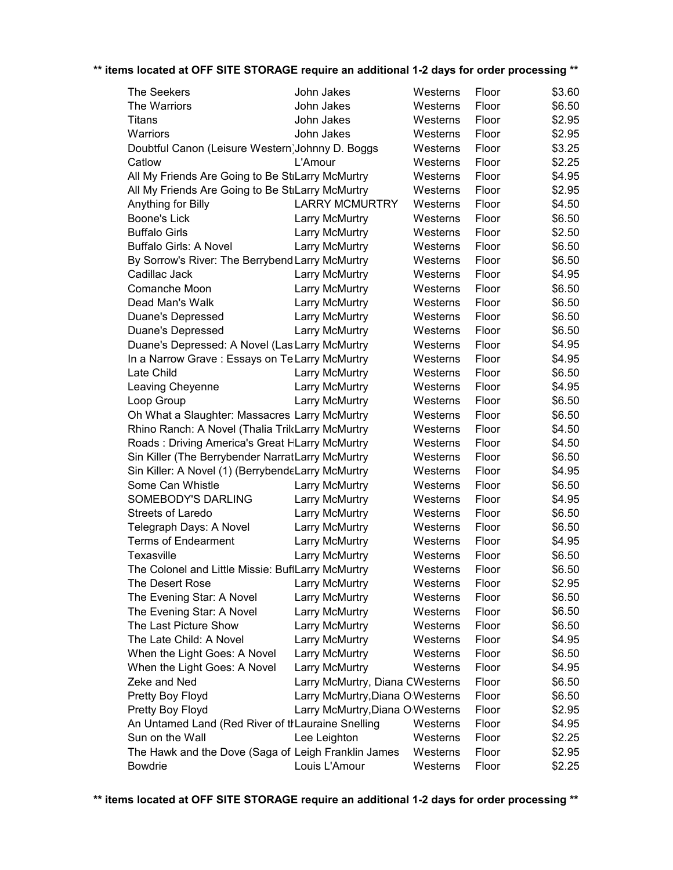| <b>The Seekers</b>                                  | John Jakes                       | Westerns | Floor | \$3.60 |
|-----------------------------------------------------|----------------------------------|----------|-------|--------|
| The Warriors                                        | John Jakes                       | Westerns | Floor | \$6.50 |
| Titans                                              | John Jakes                       | Westerns | Floor | \$2.95 |
| Warriors                                            | John Jakes                       | Westerns | Floor | \$2.95 |
| Doubtful Canon (Leisure Western) Johnny D. Boggs    |                                  | Westerns | Floor | \$3.25 |
| Catlow                                              | L'Amour                          | Westerns | Floor | \$2.25 |
| All My Friends Are Going to Be StiLarry McMurtry    |                                  | Westerns | Floor | \$4.95 |
| All My Friends Are Going to Be StiLarry McMurtry    |                                  | Westerns | Floor | \$2.95 |
| Anything for Billy                                  | <b>LARRY MCMURTRY</b>            | Westerns | Floor | \$4.50 |
| <b>Boone's Lick</b>                                 | Larry McMurtry                   | Westerns | Floor | \$6.50 |
| <b>Buffalo Girls</b>                                | Larry McMurtry                   | Westerns | Floor | \$2.50 |
| <b>Buffalo Girls: A Novel</b>                       | Larry McMurtry                   | Westerns | Floor | \$6.50 |
| By Sorrow's River: The Berrybend Larry McMurtry     |                                  | Westerns | Floor | \$6.50 |
| Cadillac Jack                                       | Larry McMurtry                   | Westerns | Floor | \$4.95 |
| Comanche Moon                                       | Larry McMurtry                   | Westerns | Floor | \$6.50 |
| Dead Man's Walk                                     | Larry McMurtry                   | Westerns | Floor | \$6.50 |
| Duane's Depressed                                   | Larry McMurtry                   | Westerns | Floor | \$6.50 |
| <b>Duane's Depressed</b>                            | Larry McMurtry                   | Westerns | Floor | \$6.50 |
| Duane's Depressed: A Novel (Las Larry McMurtry      |                                  | Westerns | Floor | \$4.95 |
| In a Narrow Grave: Essays on Te Larry McMurtry      |                                  | Westerns | Floor | \$4.95 |
| Late Child                                          | Larry McMurtry                   | Westerns | Floor | \$6.50 |
| Leaving Cheyenne                                    | Larry McMurtry                   | Westerns | Floor | \$4.95 |
| Loop Group                                          | Larry McMurtry                   | Westerns | Floor | \$6.50 |
| Oh What a Slaughter: Massacres Larry McMurtry       |                                  | Westerns | Floor | \$6.50 |
| Rhino Ranch: A Novel (Thalia TrilcLarry McMurtry    |                                  | Westerns | Floor | \$4.50 |
| Roads: Driving America's Great HLarry McMurtry      |                                  | Westerns | Floor | \$4.50 |
| Sin Killer (The Berrybender NarratLarry McMurtry    |                                  | Westerns | Floor | \$6.50 |
| Sin Killer: A Novel (1) (BerrybendeLarry McMurtry   |                                  | Westerns | Floor | \$4.95 |
| Some Can Whistle                                    | Larry McMurtry                   | Westerns | Floor | \$6.50 |
| SOMEBODY'S DARLING                                  | Larry McMurtry                   | Westerns | Floor | \$4.95 |
| <b>Streets of Laredo</b>                            | Larry McMurtry                   | Westerns | Floor | \$6.50 |
| Telegraph Days: A Novel                             | Larry McMurtry                   | Westerns | Floor | \$6.50 |
| <b>Terms of Endearment</b>                          | Larry McMurtry                   | Westerns | Floor | \$4.95 |
| Texasville                                          | Larry McMurtry                   | Westerns | Floor | \$6.50 |
| The Colonel and Little Missie: BuflLarry McMurtry   |                                  | Westerns | Floor | \$6.50 |
| The Desert Rose                                     | Larry McMurtry                   | Westerns | Floor | \$2.95 |
| The Evening Star: A Novel                           | Larry McMurtry                   | Westerns | Floor | \$6.50 |
| The Evening Star: A Novel                           | Larry McMurtry                   | Westerns | Floor | \$6.50 |
| The Last Picture Show                               | Larry McMurtry                   | Westerns | Floor | \$6.50 |
| The Late Child: A Novel                             | Larry McMurtry                   | Westerns | Floor | \$4.95 |
| When the Light Goes: A Novel                        | Larry McMurtry                   | Westerns | Floor | \$6.50 |
| When the Light Goes: A Novel                        | Larry McMurtry                   | Westerns | Floor | \$4.95 |
| Zeke and Ned                                        | Larry McMurtry, Diana CWesterns  |          | Floor | \$6.50 |
| Pretty Boy Floyd                                    | Larry McMurtry, Diana O Westerns |          | Floor | \$6.50 |
| Pretty Boy Floyd                                    | Larry McMurtry, Diana O Westerns |          | Floor | \$2.95 |
| An Untamed Land (Red River of thLauraine Snelling   |                                  | Westerns | Floor | \$4.95 |
| Sun on the Wall                                     | Lee Leighton                     | Westerns | Floor | \$2.25 |
| The Hawk and the Dove (Saga of Leigh Franklin James |                                  | Westerns | Floor | \$2.95 |
| Bowdrie                                             | Louis L'Amour                    | Westerns | Floor | \$2.25 |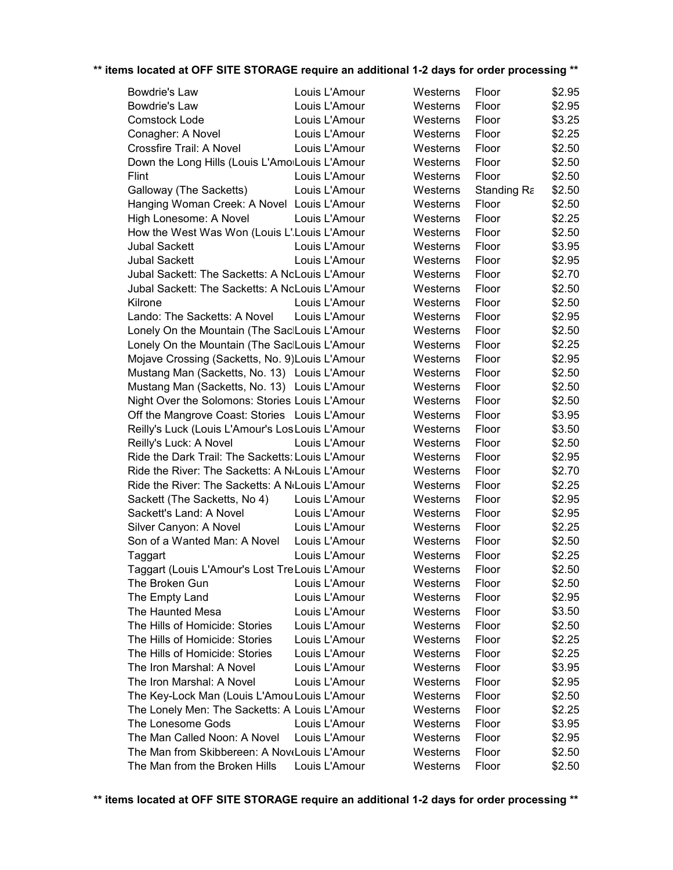| Bowdrie's Law                                    | Louis L'Amour | Westerns | Floor       | \$2.95 |
|--------------------------------------------------|---------------|----------|-------------|--------|
| Bowdrie's Law                                    | Louis L'Amour | Westerns | Floor       | \$2.95 |
| Comstock Lode                                    | Louis L'Amour | Westerns | Floor       | \$3.25 |
| Conagher: A Novel                                | Louis L'Amour | Westerns | Floor       | \$2.25 |
| Crossfire Trail: A Novel                         | Louis L'Amour | Westerns | Floor       | \$2.50 |
| Down the Long Hills (Louis L'AmoiLouis L'Amour   |               | Westerns | Floor       | \$2.50 |
| Flint                                            | Louis L'Amour | Westerns | Floor       | \$2.50 |
| Galloway (The Sacketts)                          | Louis L'Amour | Westerns | Standing Ra | \$2.50 |
| Hanging Woman Creek: A Novel Louis L'Amour       |               | Westerns | Floor       | \$2.50 |
| High Lonesome: A Novel                           | Louis L'Amour | Westerns | Floor       | \$2.25 |
| How the West Was Won (Louis L'Louis L'Amour      |               | Westerns | Floor       | \$2.50 |
| <b>Jubal Sackett</b>                             | Louis L'Amour | Westerns | Floor       | \$3.95 |
| <b>Jubal Sackett</b>                             | Louis L'Amour | Westerns | Floor       | \$2.95 |
| Jubal Sackett: The Sacketts: A NoLouis L'Amour   |               | Westerns | Floor       | \$2.70 |
| Jubal Sackett: The Sacketts: A NoLouis L'Amour   |               | Westerns | Floor       | \$2.50 |
| Kilrone                                          | Louis L'Amour | Westerns | Floor       | \$2.50 |
| Lando: The Sacketts: A Novel                     | Louis L'Amour | Westerns | Floor       | \$2.95 |
| Lonely On the Mountain (The SacILouis L'Amour    |               | Westerns | Floor       | \$2.50 |
| Lonely On the Mountain (The SacILouis L'Amour    |               | Westerns | Floor       | \$2.25 |
| Mojave Crossing (Sacketts, No. 9) Louis L'Amour  |               | Westerns | Floor       | \$2.95 |
| Mustang Man (Sacketts, No. 13) Louis L'Amour     |               | Westerns | Floor       | \$2.50 |
| Mustang Man (Sacketts, No. 13) Louis L'Amour     |               | Westerns | Floor       | \$2.50 |
| Night Over the Solomons: Stories Louis L'Amour   |               | Westerns | Floor       | \$2.50 |
| Off the Mangrove Coast: Stories Louis L'Amour    |               | Westerns | Floor       | \$3.95 |
| Reilly's Luck (Louis L'Amour's Los Louis L'Amour |               | Westerns | Floor       | \$3.50 |
| Reilly's Luck: A Novel                           | Louis L'Amour | Westerns | Floor       | \$2.50 |
| Ride the Dark Trail: The Sacketts: Louis L'Amour |               | Westerns | Floor       | \$2.95 |
| Ride the River: The Sacketts: A N(Louis L'Amour  |               | Westerns | Floor       | \$2.70 |
| Ride the River: The Sacketts: A N(Louis L'Amour  |               | Westerns | Floor       | \$2.25 |
| Sackett (The Sacketts, No 4)                     | Louis L'Amour | Westerns | Floor       | \$2.95 |
| Sackett's Land: A Novel                          | Louis L'Amour | Westerns | Floor       | \$2.95 |
| Silver Canyon: A Novel                           | Louis L'Amour | Westerns | Floor       | \$2.25 |
| Son of a Wanted Man: A Novel                     | Louis L'Amour | Westerns | Floor       | \$2.50 |
| Taggart                                          | Louis L'Amour | Westerns | Floor       | \$2.25 |
| Taggart (Louis L'Amour's Lost Tre Louis L'Amour  |               | Westerns | Floor       | \$2.50 |
| The Broken Gun                                   | Louis L'Amour | Westerns | Floor       | \$2.50 |
| The Empty Land                                   | Louis L'Amour | Westerns | Floor       | \$2.95 |
| The Haunted Mesa                                 | Louis L'Amour | Westerns | Floor       | \$3.50 |
| The Hills of Homicide: Stories                   | Louis L'Amour | Westerns | Floor       | \$2.50 |
| The Hills of Homicide: Stories                   | Louis L'Amour | Westerns | Floor       | \$2.25 |
| The Hills of Homicide: Stories                   | Louis L'Amour | Westerns | Floor       | \$2.25 |
| The Iron Marshal: A Novel                        | Louis L'Amour | Westerns | Floor       | \$3.95 |
| The Iron Marshal: A Novel                        | Louis L'Amour | Westerns | Floor       | \$2.95 |
| The Key-Lock Man (Louis L'Amou Louis L'Amour     |               | Westerns | Floor       | \$2.50 |
| The Lonely Men: The Sacketts: A Louis L'Amour    |               | Westerns | Floor       | \$2.25 |
| The Lonesome Gods                                | Louis L'Amour | Westerns | Floor       | \$3.95 |
| The Man Called Noon: A Novel                     | Louis L'Amour | Westerns | Floor       | \$2.95 |
| The Man from Skibbereen: A NoveLouis L'Amour     |               | Westerns | Floor       | \$2.50 |
| The Man from the Broken Hills                    | Louis L'Amour | Westerns | Floor       | \$2.50 |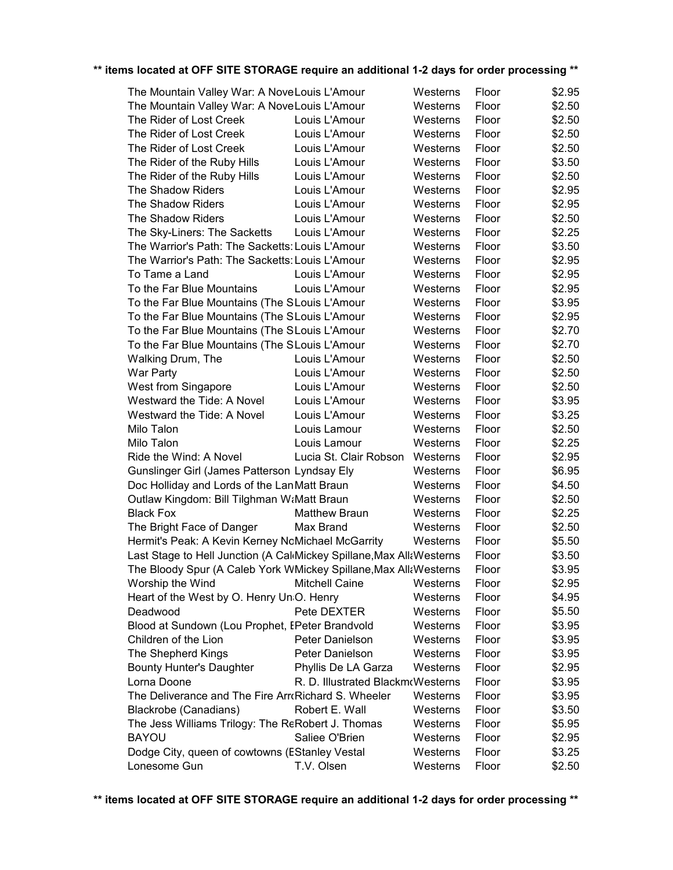| The Mountain Valley War: A NoveLouis L'Amour                          |                                   | Westerns | Floor | \$2.95 |
|-----------------------------------------------------------------------|-----------------------------------|----------|-------|--------|
| The Mountain Valley War: A NoveLouis L'Amour                          |                                   | Westerns | Floor | \$2.50 |
| The Rider of Lost Creek                                               | Louis L'Amour                     | Westerns | Floor | \$2.50 |
| The Rider of Lost Creek                                               | Louis L'Amour                     | Westerns | Floor | \$2.50 |
| The Rider of Lost Creek                                               | Louis L'Amour                     | Westerns | Floor | \$2.50 |
| The Rider of the Ruby Hills                                           | Louis L'Amour                     | Westerns | Floor | \$3.50 |
| The Rider of the Ruby Hills                                           | Louis L'Amour                     | Westerns | Floor | \$2.50 |
| The Shadow Riders                                                     | Louis L'Amour                     | Westerns | Floor | \$2.95 |
| The Shadow Riders                                                     | Louis L'Amour                     | Westerns | Floor | \$2.95 |
| The Shadow Riders                                                     | Louis L'Amour                     | Westerns | Floor | \$2.50 |
| The Sky-Liners: The Sacketts                                          | Louis L'Amour                     | Westerns | Floor | \$2.25 |
| The Warrior's Path: The Sacketts: Louis L'Amour                       |                                   | Westerns | Floor | \$3.50 |
| The Warrior's Path: The Sacketts: Louis L'Amour                       |                                   | Westerns | Floor | \$2.95 |
| To Tame a Land                                                        | Louis L'Amour                     | Westerns | Floor | \$2.95 |
| To the Far Blue Mountains                                             | Louis L'Amour                     | Westerns | Floor | \$2.95 |
| To the Far Blue Mountains (The SLouis L'Amour                         |                                   | Westerns | Floor | \$3.95 |
| To the Far Blue Mountains (The SLouis L'Amour                         |                                   | Westerns | Floor | \$2.95 |
| To the Far Blue Mountains (The SLouis L'Amour                         |                                   | Westerns | Floor | \$2.70 |
| To the Far Blue Mountains (The SLouis L'Amour                         |                                   | Westerns | Floor | \$2.70 |
| Walking Drum, The                                                     | Louis L'Amour                     | Westerns | Floor | \$2.50 |
| War Party                                                             | Louis L'Amour                     | Westerns | Floor | \$2.50 |
| West from Singapore                                                   | Louis L'Amour                     | Westerns | Floor | \$2.50 |
| Westward the Tide: A Novel                                            | Louis L'Amour                     | Westerns | Floor | \$3.95 |
| Westward the Tide: A Novel                                            | Louis L'Amour                     | Westerns | Floor | \$3.25 |
| Milo Talon                                                            | Louis Lamour                      | Westerns | Floor | \$2.50 |
| Milo Talon                                                            | Louis Lamour                      | Westerns | Floor | \$2.25 |
| Ride the Wind: A Novel                                                | Lucia St. Clair Robson            | Westerns | Floor | \$2.95 |
| Gunslinger Girl (James Patterson Lyndsay Ely                          |                                   | Westerns | Floor | \$6.95 |
| Doc Holliday and Lords of the Lan Matt Braun                          |                                   | Westerns | Floor | \$4.50 |
| Outlaw Kingdom: Bill Tilghman W:Matt Braun                            |                                   | Westerns | Floor | \$2.50 |
| <b>Black Fox</b>                                                      | <b>Matthew Braun</b>              | Westerns | Floor | \$2.25 |
| The Bright Face of Danger                                             | Max Brand                         | Westerns | Floor | \$2.50 |
| Hermit's Peak: A Kevin Kerney NoMichael McGarrity                     |                                   | Westerns | Floor | \$5.50 |
| Last Stage to Hell Junction (A Cal Mickey Spillane, Max All aWesterns |                                   |          | Floor | \$3.50 |
| The Bloody Spur (A Caleb York WMickey Spillane, Max AllaWesterns      |                                   |          | Floor | \$3.95 |
| Worship the Wind                                                      | <b>Mitchell Caine</b>             | Westerns | Floor | \$2.95 |
| Heart of the West by O. Henry UniO. Henry                             |                                   | Westerns | Floor | \$4.95 |
| Deadwood                                                              | Pete DEXTER                       | Westerns | Floor | \$5.50 |
| Blood at Sundown (Lou Prophet, EPeter Brandvold                       |                                   | Westerns | Floor | \$3.95 |
| Children of the Lion                                                  | Peter Danielson                   | Westerns | Floor | \$3.95 |
| The Shepherd Kings                                                    | Peter Danielson                   | Westerns | Floor | \$3.95 |
| <b>Bounty Hunter's Daughter</b>                                       | Phyllis De LA Garza               | Westerns | Floor | \$2.95 |
| Lorna Doone                                                           | R. D. Illustrated BlackmoWesterns |          | Floor | \$3.95 |
| The Deliverance and The Fire ArroRichard S. Wheeler                   |                                   | Westerns | Floor | \$3.95 |
| <b>Blackrobe (Canadians)</b>                                          | Robert E. Wall                    | Westerns | Floor | \$3.50 |
| The Jess Williams Trilogy: The ReRobert J. Thomas                     |                                   | Westerns | Floor | \$5.95 |
| <b>BAYOU</b>                                                          | Saliee O'Brien                    | Westerns | Floor | \$2.95 |
| Dodge City, queen of cowtowns (EStanley Vestal                        |                                   | Westerns | Floor | \$3.25 |
| Lonesome Gun                                                          | T.V. Olsen                        | Westerns | Floor | \$2.50 |
|                                                                       |                                   |          |       |        |